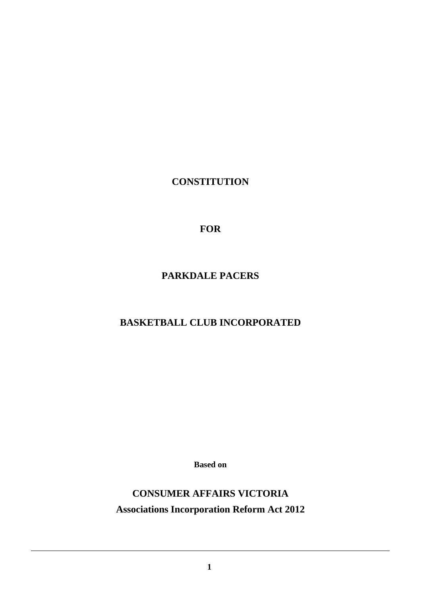**CONSTITUTION**

**FOR**

**PARKDALE PACERS** 

# **BASKETBALL CLUB INCORPORATED**

**Based on**

**CONSUMER AFFAIRS VICTORIA Associations Incorporation Reform Act 2012**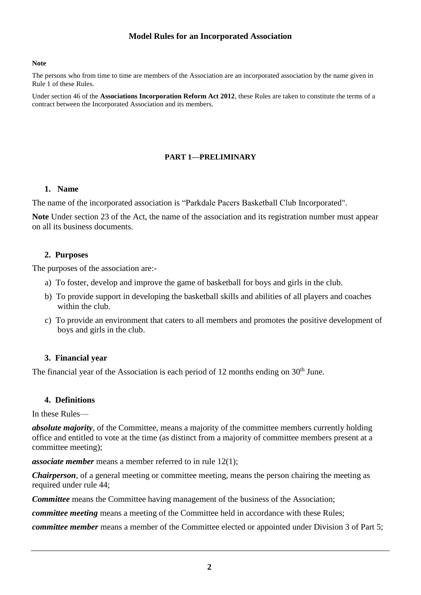### **Model Rules for an Incorporated Association**

#### **Note**

The persons who from time to time are members of the Association are an incorporated association by the name given in Rule 1 of these Rules.

Under section 46 of the **Associations Incorporation Reform Act 2012**, these Rules are taken to constitute the terms of a contract between the Incorporated Association and its members.

#### **PART 1—PRELIMINARY**

#### **1. Name**

The name of the incorporated association is "Parkdale Pacers Basketball Club Incorporated".

**Note** Under section 23 of the Act, the name of the association and its registration number must appear on all its business documents.

### **2. Purposes**

The purposes of the association are:-

- a) To foster, develop and improve the game of basketball for boys and girls in the club.
- b) To provide support in developing the basketball skills and abilities of all players and coaches within the club.
- c) To provide an environment that caters to all members and promotes the positive development of boys and girls in the club.

#### **3. Financial year**

The financial year of the Association is each period of 12 months ending on  $30<sup>th</sup>$  June.

#### **4. Definitions**

In these Rules—

*absolute majority*, of the Committee, means a majority of the committee members currently holding office and entitled to vote at the time (as distinct from a majority of committee members present at a committee meeting);

*associate member* means a member referred to in rule 12(1);

*Chairperson*, of a general meeting or committee meeting, means the person chairing the meeting as required under rule 44;

*Committee* means the Committee having management of the business of the Association;

*committee meeting* means a meeting of the Committee held in accordance with these Rules;

*committee member* means a member of the Committee elected or appointed under Division 3 of Part 5;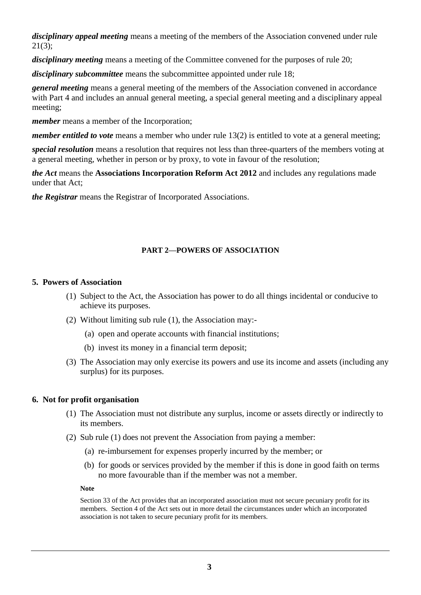*disciplinary appeal meeting* means a meeting of the members of the Association convened under rule 21(3);

*disciplinary meeting* means a meeting of the Committee convened for the purposes of rule 20;

*disciplinary subcommittee* means the subcommittee appointed under rule 18;

*general meeting* means a general meeting of the members of the Association convened in accordance with Part 4 and includes an annual general meeting, a special general meeting and a disciplinary appeal meeting;

*member* means a member of the Incorporation;

*member entitled to vote* means a member who under rule 13(2) is entitled to vote at a general meeting;

*special resolution* means a resolution that requires not less than three-quarters of the members voting at a general meeting, whether in person or by proxy, to vote in favour of the resolution;

*the Act* means the **Associations Incorporation Reform Act 2012** and includes any regulations made under that Act;

*the Registrar* means the Registrar of Incorporated Associations.

# **PART 2—POWERS OF ASSOCIATION**

### **5. Powers of Association**

- (1) Subject to the Act, the Association has power to do all things incidental or conducive to achieve its purposes.
- (2) Without limiting sub rule (1), the Association may:-
	- (a) open and operate accounts with financial institutions;
	- (b) invest its money in a financial term deposit;
- (3) The Association may only exercise its powers and use its income and assets (including any surplus) for its purposes.

# **6. Not for profit organisation**

- (1) The Association must not distribute any surplus, income or assets directly or indirectly to its members.
- (2) Sub rule (1) does not prevent the Association from paying a member:
	- (a) re-imbursement for expenses properly incurred by the member; or
	- (b) for goods or services provided by the member if this is done in good faith on terms no more favourable than if the member was not a member.

#### **Note**

Section 33 of the Act provides that an incorporated association must not secure pecuniary profit for its members. Section 4 of the Act sets out in more detail the circumstances under which an incorporated association is not taken to secure pecuniary profit for its members.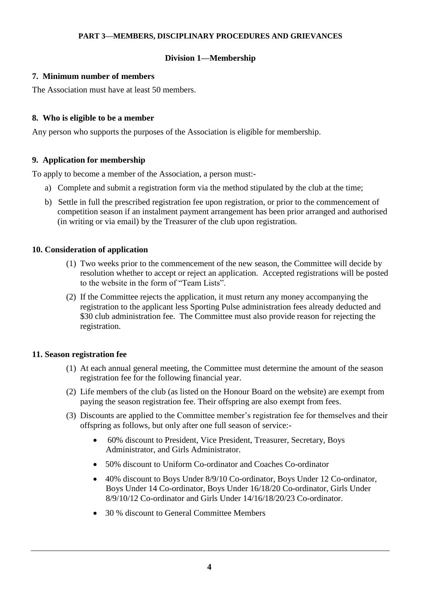### **PART 3—MEMBERS, DISCIPLINARY PROCEDURES AND GRIEVANCES**

# **Division 1—Membership**

# **7. Minimum number of members**

The Association must have at least 50 members.

# **8. Who is eligible to be a member**

Any person who supports the purposes of the Association is eligible for membership.

# **9. Application for membership**

To apply to become a member of the Association, a person must:-

- a) Complete and submit a registration form via the method stipulated by the club at the time;
- b) Settle in full the prescribed registration fee upon registration, or prior to the commencement of competition season if an instalment payment arrangement has been prior arranged and authorised (in writing or via email) by the Treasurer of the club upon registration.

# **10. Consideration of application**

- (1) Two weeks prior to the commencement of the new season, the Committee will decide by resolution whether to accept or reject an application. Accepted registrations will be posted to the website in the form of "Team Lists".
- (2) If the Committee rejects the application, it must return any money accompanying the registration to the applicant less Sporting Pulse administration fees already deducted and \$30 club administration fee. The Committee must also provide reason for rejecting the registration.

# **11. Season registration fee**

- (1) At each annual general meeting, the Committee must determine the amount of the season registration fee for the following financial year.
- (2) Life members of the club (as listed on the Honour Board on the website) are exempt from paying the season registration fee. Their offspring are also exempt from fees.
- (3) Discounts are applied to the Committee member's registration fee for themselves and their offspring as follows, but only after one full season of service:-
	- 60% discount to President, Vice President, Treasurer, Secretary, Boys Administrator, and Girls Administrator.
	- 50% discount to Uniform Co-ordinator and Coaches Co-ordinator
	- 40% discount to Boys Under 8/9/10 Co-ordinator, Boys Under 12 Co-ordinator, Boys Under 14 Co-ordinator, Boys Under 16/18/20 Co-ordinator, Girls Under 8/9/10/12 Co-ordinator and Girls Under 14/16/18/20/23 Co-ordinator.
	- 30 % discount to General Committee Members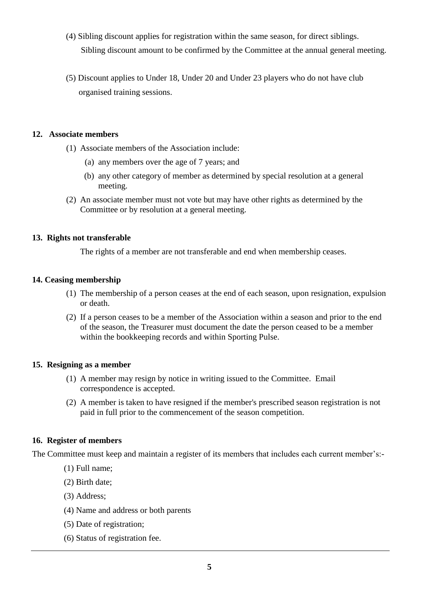- (4) Sibling discount applies for registration within the same season, for direct siblings. Sibling discount amount to be confirmed by the Committee at the annual general meeting.
- (5) Discount applies to Under 18, Under 20 and Under 23 players who do not have club organised training sessions.

### **12. Associate members**

- (1) Associate members of the Association include:
	- (a) any members over the age of 7 years; and
	- (b) any other category of member as determined by special resolution at a general meeting.
- (2) An associate member must not vote but may have other rights as determined by the Committee or by resolution at a general meeting.

### **13. Rights not transferable**

The rights of a member are not transferable and end when membership ceases.

### **14. Ceasing membership**

- (1) The membership of a person ceases at the end of each season, upon resignation, expulsion or death.
- (2) If a person ceases to be a member of the Association within a season and prior to the end of the season, the Treasurer must document the date the person ceased to be a member within the bookkeeping records and within Sporting Pulse.

# **15. Resigning as a member**

- (1) A member may resign by notice in writing issued to the Committee. Email correspondence is accepted.
- (2) A member is taken to have resigned if the member's prescribed season registration is not paid in full prior to the commencement of the season competition.

# **16. Register of members**

The Committee must keep and maintain a register of its members that includes each current member's:-

- (1) Full name;
- (2) Birth date;
- (3) Address;
- (4) Name and address or both parents
- (5) Date of registration;
- (6) Status of registration fee.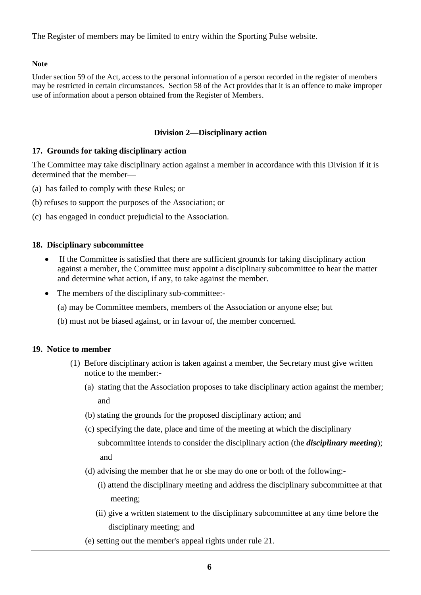The Register of members may be limited to entry within the Sporting Pulse website.

# **Note**

Under section 59 of the Act, access to the personal information of a person recorded in the register of members may be restricted in certain circumstances. Section 58 of the Act provides that it is an offence to make improper use of information about a person obtained from the Register of Members.

# **Division 2—Disciplinary action**

# **17. Grounds for taking disciplinary action**

The Committee may take disciplinary action against a member in accordance with this Division if it is determined that the member—

- (a) has failed to comply with these Rules; or
- (b) refuses to support the purposes of the Association; or
- (c) has engaged in conduct prejudicial to the Association.

# **18. Disciplinary subcommittee**

- If the Committee is satisfied that there are sufficient grounds for taking disciplinary action against a member, the Committee must appoint a disciplinary subcommittee to hear the matter and determine what action, if any, to take against the member.
- The members of the disciplinary sub-committee:-

(a) may be Committee members, members of the Association or anyone else; but

(b) must not be biased against, or in favour of, the member concerned.

# **19. Notice to member**

- (1) Before disciplinary action is taken against a member, the Secretary must give written notice to the member:-
	- (a) stating that the Association proposes to take disciplinary action against the member; and
	- (b) stating the grounds for the proposed disciplinary action; and
	- (c) specifying the date, place and time of the meeting at which the disciplinary subcommittee intends to consider the disciplinary action (the *disciplinary meeting*); and
	- (d) advising the member that he or she may do one or both of the following:-
		- (i) attend the disciplinary meeting and address the disciplinary subcommittee at that meeting;
		- (ii) give a written statement to the disciplinary subcommittee at any time before the disciplinary meeting; and
	- (e) setting out the member's appeal rights under rule 21.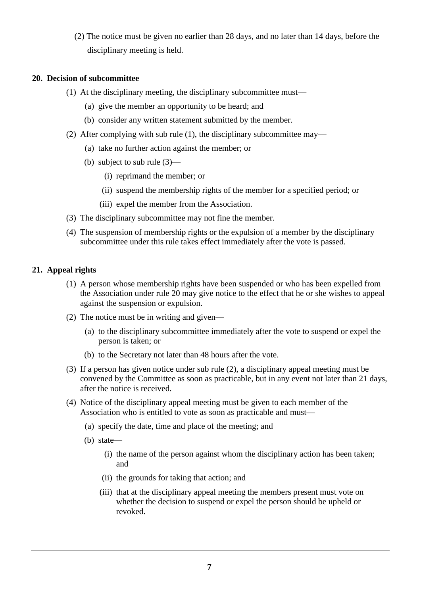(2) The notice must be given no earlier than 28 days, and no later than 14 days, before the disciplinary meeting is held.

### **20. Decision of subcommittee**

- (1) At the disciplinary meeting, the disciplinary subcommittee must—
	- (a) give the member an opportunity to be heard; and
	- (b) consider any written statement submitted by the member.
- (2) After complying with sub rule (1), the disciplinary subcommittee may—
	- (a) take no further action against the member; or
	- (b) subject to sub rule (3)—
		- (i) reprimand the member; or
		- (ii) suspend the membership rights of the member for a specified period; or
		- (iii) expel the member from the Association.
- (3) The disciplinary subcommittee may not fine the member.
- (4) The suspension of membership rights or the expulsion of a member by the disciplinary subcommittee under this rule takes effect immediately after the vote is passed.

### **21. Appeal rights**

- (1) A person whose membership rights have been suspended or who has been expelled from the Association under rule 20 may give notice to the effect that he or she wishes to appeal against the suspension or expulsion.
- (2) The notice must be in writing and given—
	- (a) to the disciplinary subcommittee immediately after the vote to suspend or expel the person is taken; or
	- (b) to the Secretary not later than 48 hours after the vote.
- (3) If a person has given notice under sub rule (2), a disciplinary appeal meeting must be convened by the Committee as soon as practicable, but in any event not later than 21 days, after the notice is received.
- (4) Notice of the disciplinary appeal meeting must be given to each member of the Association who is entitled to vote as soon as practicable and must—
	- (a) specify the date, time and place of the meeting; and
	- (b) state—
		- (i) the name of the person against whom the disciplinary action has been taken; and
		- (ii) the grounds for taking that action; and
		- (iii) that at the disciplinary appeal meeting the members present must vote on whether the decision to suspend or expel the person should be upheld or revoked.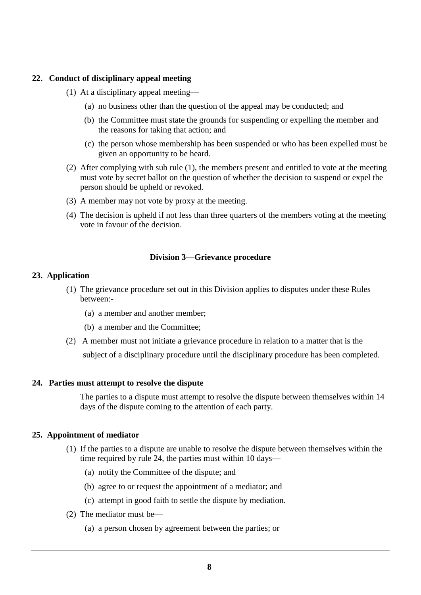### **22. Conduct of disciplinary appeal meeting**

- (1) At a disciplinary appeal meeting—
	- (a) no business other than the question of the appeal may be conducted; and
	- (b) the Committee must state the grounds for suspending or expelling the member and the reasons for taking that action; and
	- (c) the person whose membership has been suspended or who has been expelled must be given an opportunity to be heard.
- (2) After complying with sub rule (1), the members present and entitled to vote at the meeting must vote by secret ballot on the question of whether the decision to suspend or expel the person should be upheld or revoked.
- (3) A member may not vote by proxy at the meeting.
- (4) The decision is upheld if not less than three quarters of the members voting at the meeting vote in favour of the decision.

#### **Division 3—Grievance procedure**

#### **23. Application**

- (1) The grievance procedure set out in this Division applies to disputes under these Rules between:-
	- (a) a member and another member;
	- (b) a member and the Committee;
- (2) A member must not initiate a grievance procedure in relation to a matter that is the subject of a disciplinary procedure until the disciplinary procedure has been completed.

#### **24. Parties must attempt to resolve the dispute**

The parties to a dispute must attempt to resolve the dispute between themselves within 14 days of the dispute coming to the attention of each party.

#### **25. Appointment of mediator**

- (1) If the parties to a dispute are unable to resolve the dispute between themselves within the time required by rule 24, the parties must within 10 days—
	- (a) notify the Committee of the dispute; and
	- (b) agree to or request the appointment of a mediator; and
	- (c) attempt in good faith to settle the dispute by mediation.
- (2) The mediator must be—
	- (a) a person chosen by agreement between the parties; or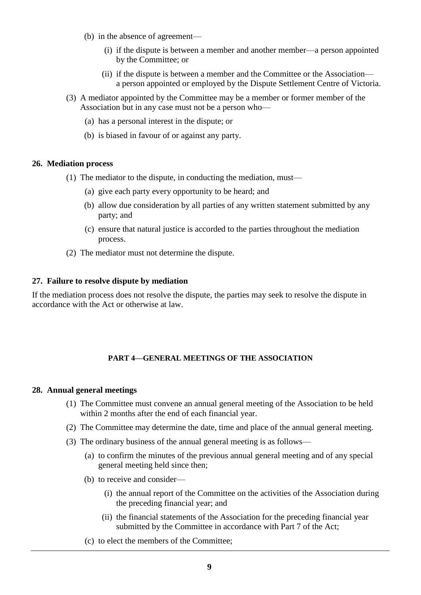- (b) in the absence of agreement—
	- (i) if the dispute is between a member and another member—a person appointed by the Committee; or
	- (ii) if the dispute is between a member and the Committee or the Association a person appointed or employed by the Dispute Settlement Centre of Victoria.
- (3) A mediator appointed by the Committee may be a member or former member of the Association but in any case must not be a person who—
	- (a) has a personal interest in the dispute; or
	- (b) is biased in favour of or against any party.

#### **26. Mediation process**

- (1) The mediator to the dispute, in conducting the mediation, must—
	- (a) give each party every opportunity to be heard; and
	- (b) allow due consideration by all parties of any written statement submitted by any party; and
	- (c) ensure that natural justice is accorded to the parties throughout the mediation process.
- (2) The mediator must not determine the dispute.

#### **27. Failure to resolve dispute by mediation**

If the mediation process does not resolve the dispute, the parties may seek to resolve the dispute in accordance with the Act or otherwise at law.

#### **PART 4—GENERAL MEETINGS OF THE ASSOCIATION**

#### **28. Annual general meetings**

- (1) The Committee must convene an annual general meeting of the Association to be held within 2 months after the end of each financial year.
- (2) The Committee may determine the date, time and place of the annual general meeting.
- (3) The ordinary business of the annual general meeting is as follows—
	- (a) to confirm the minutes of the previous annual general meeting and of any special general meeting held since then;
	- (b) to receive and consider—
		- (i) the annual report of the Committee on the activities of the Association during the preceding financial year; and
		- (ii) the financial statements of the Association for the preceding financial year submitted by the Committee in accordance with Part 7 of the Act;
	- (c) to elect the members of the Committee;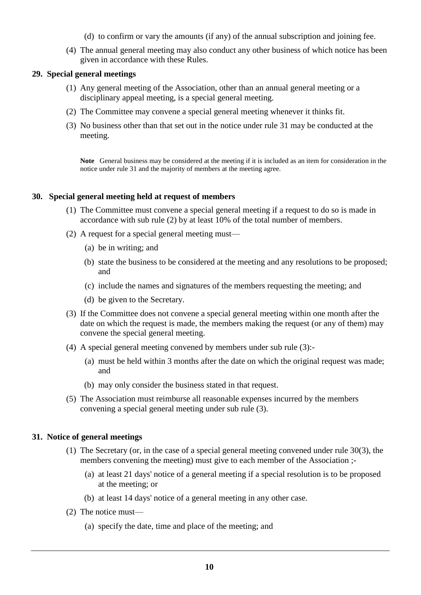- (d) to confirm or vary the amounts (if any) of the annual subscription and joining fee.
- (4) The annual general meeting may also conduct any other business of which notice has been given in accordance with these Rules.

### **29. Special general meetings**

- (1) Any general meeting of the Association, other than an annual general meeting or a disciplinary appeal meeting, is a special general meeting.
- (2) The Committee may convene a special general meeting whenever it thinks fit.
- (3) No business other than that set out in the notice under rule 31 may be conducted at the meeting.

**Note** General business may be considered at the meeting if it is included as an item for consideration in the notice under rule 31 and the majority of members at the meeting agree.

#### **30. Special general meeting held at request of members**

- (1) The Committee must convene a special general meeting if a request to do so is made in accordance with sub rule (2) by at least 10% of the total number of members.
- (2) A request for a special general meeting must—
	- (a) be in writing; and
	- (b) state the business to be considered at the meeting and any resolutions to be proposed; and
	- (c) include the names and signatures of the members requesting the meeting; and
	- (d) be given to the Secretary.
- (3) If the Committee does not convene a special general meeting within one month after the date on which the request is made, the members making the request (or any of them) may convene the special general meeting.
- (4) A special general meeting convened by members under sub rule (3):-
	- (a) must be held within 3 months after the date on which the original request was made; and
	- (b) may only consider the business stated in that request.
- (5) The Association must reimburse all reasonable expenses incurred by the members convening a special general meeting under sub rule (3).

### **31. Notice of general meetings**

- (1) The Secretary (or, in the case of a special general meeting convened under rule 30(3), the members convening the meeting) must give to each member of the Association ;-
	- (a) at least 21 days' notice of a general meeting if a special resolution is to be proposed at the meeting; or
	- (b) at least 14 days' notice of a general meeting in any other case.
- (2) The notice must—
	- (a) specify the date, time and place of the meeting; and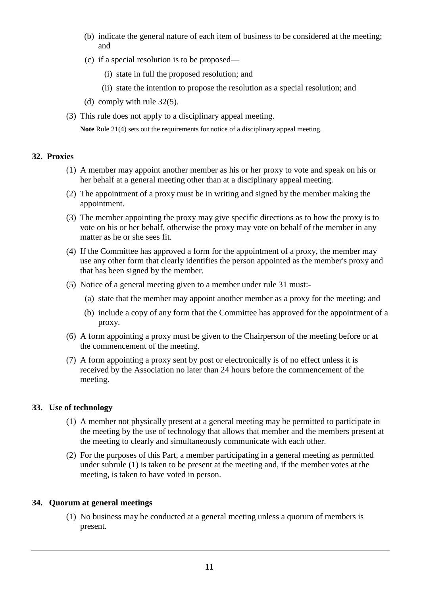- (b) indicate the general nature of each item of business to be considered at the meeting; and
- (c) if a special resolution is to be proposed—
	- (i) state in full the proposed resolution; and
	- (ii) state the intention to propose the resolution as a special resolution; and
- (d) comply with rule 32(5).
- (3) This rule does not apply to a disciplinary appeal meeting.

**Note** Rule 21(4) sets out the requirements for notice of a disciplinary appeal meeting.

### **32. Proxies**

- (1) A member may appoint another member as his or her proxy to vote and speak on his or her behalf at a general meeting other than at a disciplinary appeal meeting.
- (2) The appointment of a proxy must be in writing and signed by the member making the appointment.
- (3) The member appointing the proxy may give specific directions as to how the proxy is to vote on his or her behalf, otherwise the proxy may vote on behalf of the member in any matter as he or she sees fit.
- (4) If the Committee has approved a form for the appointment of a proxy, the member may use any other form that clearly identifies the person appointed as the member's proxy and that has been signed by the member.
- (5) Notice of a general meeting given to a member under rule 31 must:-
	- (a) state that the member may appoint another member as a proxy for the meeting; and
	- (b) include a copy of any form that the Committee has approved for the appointment of a proxy.
- (6) A form appointing a proxy must be given to the Chairperson of the meeting before or at the commencement of the meeting.
- (7) A form appointing a proxy sent by post or electronically is of no effect unless it is received by the Association no later than 24 hours before the commencement of the meeting.

# **33. Use of technology**

- (1) A member not physically present at a general meeting may be permitted to participate in the meeting by the use of technology that allows that member and the members present at the meeting to clearly and simultaneously communicate with each other.
- (2) For the purposes of this Part, a member participating in a general meeting as permitted under subrule (1) is taken to be present at the meeting and, if the member votes at the meeting, is taken to have voted in person.

# **34. Quorum at general meetings**

(1) No business may be conducted at a general meeting unless a quorum of members is present.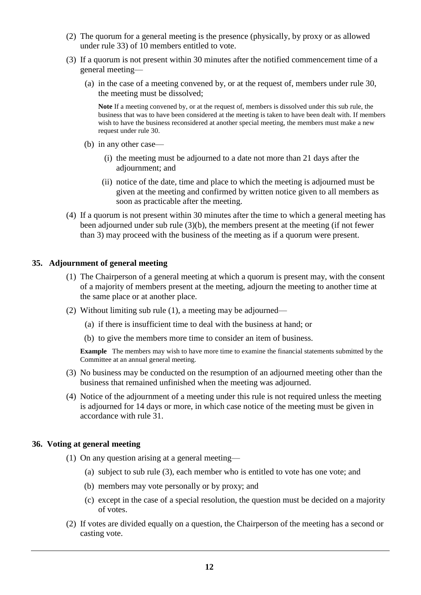- (2) The quorum for a general meeting is the presence (physically, by proxy or as allowed under rule 33) of 10 members entitled to vote.
- (3) If a quorum is not present within 30 minutes after the notified commencement time of a general meeting—
	- (a) in the case of a meeting convened by, or at the request of, members under rule 30, the meeting must be dissolved;

**Note** If a meeting convened by, or at the request of, members is dissolved under this sub rule, the business that was to have been considered at the meeting is taken to have been dealt with. If members wish to have the business reconsidered at another special meeting, the members must make a new request under rule 30.

- (b) in any other case—
	- (i) the meeting must be adjourned to a date not more than 21 days after the adjournment; and
	- (ii) notice of the date, time and place to which the meeting is adjourned must be given at the meeting and confirmed by written notice given to all members as soon as practicable after the meeting.
- (4) If a quorum is not present within 30 minutes after the time to which a general meeting has been adjourned under sub rule (3)(b), the members present at the meeting (if not fewer than 3) may proceed with the business of the meeting as if a quorum were present.

#### **35. Adjournment of general meeting**

- (1) The Chairperson of a general meeting at which a quorum is present may, with the consent of a majority of members present at the meeting, adjourn the meeting to another time at the same place or at another place.
- (2) Without limiting sub rule (1), a meeting may be adjourned—
	- (a) if there is insufficient time to deal with the business at hand; or
	- (b) to give the members more time to consider an item of business.

**Example** The members may wish to have more time to examine the financial statements submitted by the Committee at an annual general meeting.

- (3) No business may be conducted on the resumption of an adjourned meeting other than the business that remained unfinished when the meeting was adjourned.
- (4) Notice of the adjournment of a meeting under this rule is not required unless the meeting is adjourned for 14 days or more, in which case notice of the meeting must be given in accordance with rule 31.

#### **36. Voting at general meeting**

- (1) On any question arising at a general meeting—
	- (a) subject to sub rule (3), each member who is entitled to vote has one vote; and
	- (b) members may vote personally or by proxy; and
	- (c) except in the case of a special resolution, the question must be decided on a majority of votes.
- (2) If votes are divided equally on a question, the Chairperson of the meeting has a second or casting vote.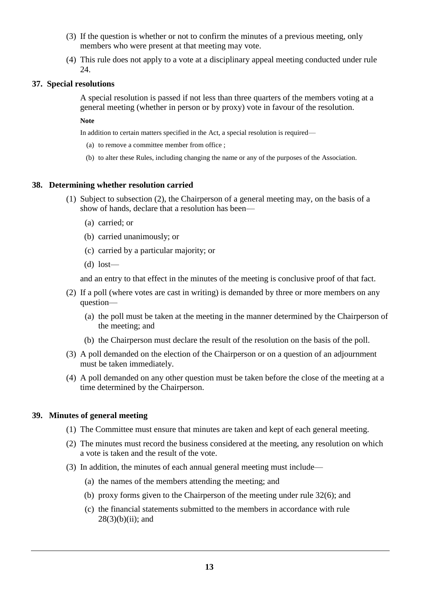- (3) If the question is whether or not to confirm the minutes of a previous meeting, only members who were present at that meeting may vote.
- (4) This rule does not apply to a vote at a disciplinary appeal meeting conducted under rule 24.

#### **37. Special resolutions**

A special resolution is passed if not less than three quarters of the members voting at a general meeting (whether in person or by proxy) vote in favour of the resolution.

**Note**

In addition to certain matters specified in the Act, a special resolution is required—

- (a) to remove a committee member from office ;
- (b) to alter these Rules, including changing the name or any of the purposes of the Association.

#### **38. Determining whether resolution carried**

- (1) Subject to subsection (2), the Chairperson of a general meeting may, on the basis of a show of hands, declare that a resolution has been—
	- (a) carried; or
	- (b) carried unanimously; or
	- (c) carried by a particular majority; or
	- (d) lost—

and an entry to that effect in the minutes of the meeting is conclusive proof of that fact.

- (2) If a poll (where votes are cast in writing) is demanded by three or more members on any question—
	- (a) the poll must be taken at the meeting in the manner determined by the Chairperson of the meeting; and
	- (b) the Chairperson must declare the result of the resolution on the basis of the poll.
- (3) A poll demanded on the election of the Chairperson or on a question of an adjournment must be taken immediately.
- (4) A poll demanded on any other question must be taken before the close of the meeting at a time determined by the Chairperson.

#### **39. Minutes of general meeting**

- (1) The Committee must ensure that minutes are taken and kept of each general meeting.
- (2) The minutes must record the business considered at the meeting, any resolution on which a vote is taken and the result of the vote.
- (3) In addition, the minutes of each annual general meeting must include—
	- (a) the names of the members attending the meeting; and
	- (b) proxy forms given to the Chairperson of the meeting under rule 32(6); and
	- (c) the financial statements submitted to the members in accordance with rule  $28(3)(b)(ii)$ ; and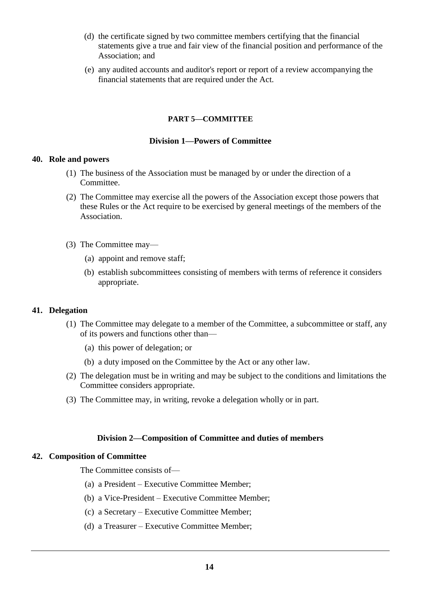- (d) the certificate signed by two committee members certifying that the financial statements give a true and fair view of the financial position and performance of the Association; and
- (e) any audited accounts and auditor's report or report of a review accompanying the financial statements that are required under the Act.

#### **PART 5—COMMITTEE**

#### **Division 1—Powers of Committee**

#### **40. Role and powers**

- (1) The business of the Association must be managed by or under the direction of a Committee.
- (2) The Committee may exercise all the powers of the Association except those powers that these Rules or the Act require to be exercised by general meetings of the members of the Association.
- (3) The Committee may—
	- (a) appoint and remove staff;
	- (b) establish subcommittees consisting of members with terms of reference it considers appropriate.

#### **41. Delegation**

- (1) The Committee may delegate to a member of the Committee, a subcommittee or staff, any of its powers and functions other than—
	- (a) this power of delegation; or
	- (b) a duty imposed on the Committee by the Act or any other law.
- (2) The delegation must be in writing and may be subject to the conditions and limitations the Committee considers appropriate.
- (3) The Committee may, in writing, revoke a delegation wholly or in part.

#### **Division 2—Composition of Committee and duties of members**

#### **42. Composition of Committee**

The Committee consists of—

- (a) a President Executive Committee Member;
- (b) a Vice-President Executive Committee Member;
- (c) a Secretary Executive Committee Member;
- (d) a Treasurer Executive Committee Member;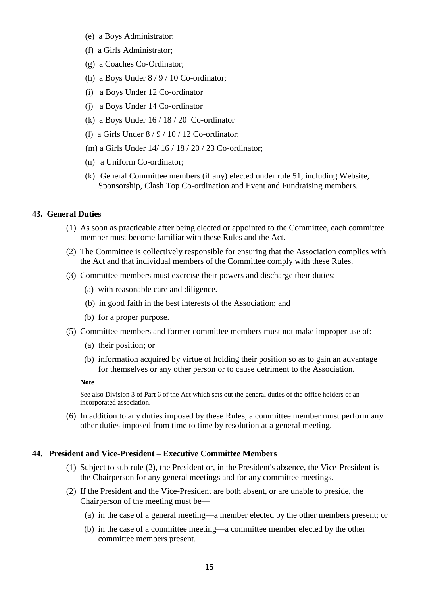- (e) a Boys Administrator;
- (f) a Girls Administrator;
- (g) a Coaches Co-Ordinator;
- (h) a Boys Under  $8/9/10$  Co-ordinator;
- (i) a Boys Under 12 Co-ordinator
- (j) a Boys Under 14 Co-ordinator
- (k) a Boys Under 16 / 18 / 20 Co-ordinator
- (l) a Girls Under 8 / 9 / 10 / 12 Co-ordinator;
- (m) a Girls Under 14/ 16 / 18 / 20 / 23 Co-ordinator;
- (n) a Uniform Co-ordinator;
- (k) General Committee members (if any) elected under rule 51, including Website, Sponsorship, Clash Top Co-ordination and Event and Fundraising members.

### **43. General Duties**

- (1) As soon as practicable after being elected or appointed to the Committee, each committee member must become familiar with these Rules and the Act.
- (2) The Committee is collectively responsible for ensuring that the Association complies with the Act and that individual members of the Committee comply with these Rules.
- (3) Committee members must exercise their powers and discharge their duties:-
	- (a) with reasonable care and diligence.
	- (b) in good faith in the best interests of the Association; and
	- (b) for a proper purpose.
- (5) Committee members and former committee members must not make improper use of:-
	- (a) their position; or
	- (b) information acquired by virtue of holding their position so as to gain an advantage for themselves or any other person or to cause detriment to the Association.

#### **Note**

See also Division 3 of Part 6 of the Act which sets out the general duties of the office holders of an incorporated association.

(6) In addition to any duties imposed by these Rules, a committee member must perform any other duties imposed from time to time by resolution at a general meeting.

# **44. President and Vice-President – Executive Committee Members**

- (1) Subject to sub rule (2), the President or, in the President's absence, the Vice-President is the Chairperson for any general meetings and for any committee meetings.
- (2) If the President and the Vice-President are both absent, or are unable to preside, the Chairperson of the meeting must be—
	- (a) in the case of a general meeting—a member elected by the other members present; or
	- (b) in the case of a committee meeting—a committee member elected by the other committee members present.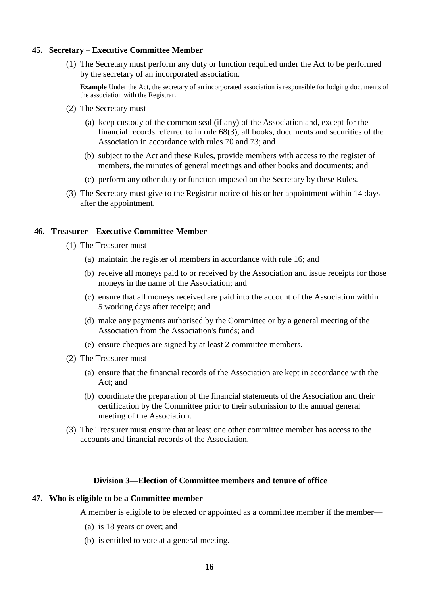#### **45. Secretary – Executive Committee Member**

(1) The Secretary must perform any duty or function required under the Act to be performed by the secretary of an incorporated association.

**Example** Under the Act, the secretary of an incorporated association is responsible for lodging documents of the association with the Registrar.

- (2) The Secretary must—
	- (a) keep custody of the common seal (if any) of the Association and, except for the financial records referred to in rule 68(3), all books, documents and securities of the Association in accordance with rules 70 and 73; and
	- (b) subject to the Act and these Rules, provide members with access to the register of members, the minutes of general meetings and other books and documents; and
	- (c) perform any other duty or function imposed on the Secretary by these Rules.
- (3) The Secretary must give to the Registrar notice of his or her appointment within 14 days after the appointment.

#### **46. Treasurer – Executive Committee Member**

- (1) The Treasurer must—
	- (a) maintain the register of members in accordance with rule 16; and
	- (b) receive all moneys paid to or received by the Association and issue receipts for those moneys in the name of the Association; and
	- (c) ensure that all moneys received are paid into the account of the Association within 5 working days after receipt; and
	- (d) make any payments authorised by the Committee or by a general meeting of the Association from the Association's funds; and
	- (e) ensure cheques are signed by at least 2 committee members.
- (2) The Treasurer must—
	- (a) ensure that the financial records of the Association are kept in accordance with the Act; and
	- (b) coordinate the preparation of the financial statements of the Association and their certification by the Committee prior to their submission to the annual general meeting of the Association.
- (3) The Treasurer must ensure that at least one other committee member has access to the accounts and financial records of the Association.

# **Division 3—Election of Committee members and tenure of office**

### **47. Who is eligible to be a Committee member**

A member is eligible to be elected or appointed as a committee member if the member—

- (a) is 18 years or over; and
- (b) is entitled to vote at a general meeting.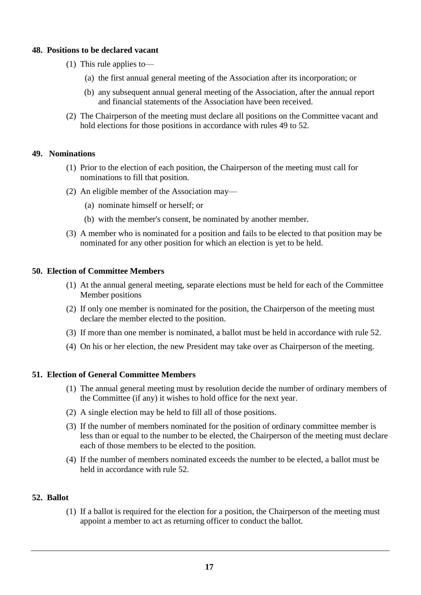### **48. Positions to be declared vacant**

- (1) This rule applies to—
	- (a) the first annual general meeting of the Association after its incorporation; or
	- (b) any subsequent annual general meeting of the Association, after the annual report and financial statements of the Association have been received.
- (2) The Chairperson of the meeting must declare all positions on the Committee vacant and hold elections for those positions in accordance with rules 49 to 52.

### **49. Nominations**

- (1) Prior to the election of each position, the Chairperson of the meeting must call for nominations to fill that position.
- (2) An eligible member of the Association may—
	- (a) nominate himself or herself; or
	- (b) with the member's consent, be nominated by another member.
- (3) A member who is nominated for a position and fails to be elected to that position may be nominated for any other position for which an election is yet to be held.

### **50. Election of Committee Members**

- (1) At the annual general meeting, separate elections must be held for each of the Committee Member positions
- (2) If only one member is nominated for the position, the Chairperson of the meeting must declare the member elected to the position.
- (3) If more than one member is nominated, a ballot must be held in accordance with rule 52.
- (4) On his or her election, the new President may take over as Chairperson of the meeting.

# **51. Election of General Committee Members**

- (1) The annual general meeting must by resolution decide the number of ordinary members of the Committee (if any) it wishes to hold office for the next year.
- (2) A single election may be held to fill all of those positions.
- (3) If the number of members nominated for the position of ordinary committee member is less than or equal to the number to be elected, the Chairperson of the meeting must declare each of those members to be elected to the position.
- (4) If the number of members nominated exceeds the number to be elected, a ballot must be held in accordance with rule 52.

#### **52. Ballot**

(1) If a ballot is required for the election for a position, the Chairperson of the meeting must appoint a member to act as returning officer to conduct the ballot.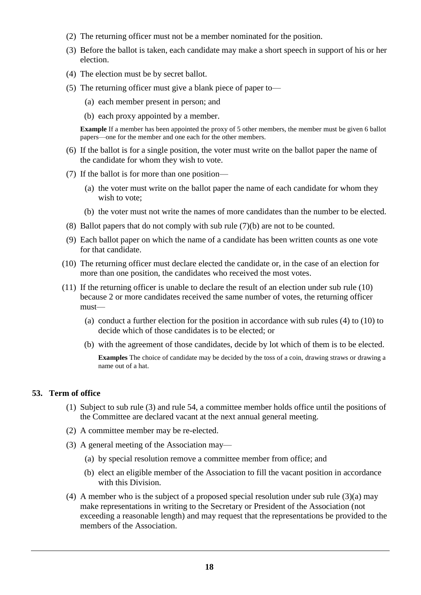- (2) The returning officer must not be a member nominated for the position.
- (3) Before the ballot is taken, each candidate may make a short speech in support of his or her election.
- (4) The election must be by secret ballot.
- (5) The returning officer must give a blank piece of paper to—
	- (a) each member present in person; and
	- (b) each proxy appointed by a member.

**Example** If a member has been appointed the proxy of 5 other members, the member must be given 6 ballot papers—one for the member and one each for the other members.

- (6) If the ballot is for a single position, the voter must write on the ballot paper the name of the candidate for whom they wish to vote.
- (7) If the ballot is for more than one position—
	- (a) the voter must write on the ballot paper the name of each candidate for whom they wish to vote;
	- (b) the voter must not write the names of more candidates than the number to be elected.
- (8) Ballot papers that do not comply with sub rule (7)(b) are not to be counted.
- (9) Each ballot paper on which the name of a candidate has been written counts as one vote for that candidate.
- (10) The returning officer must declare elected the candidate or, in the case of an election for more than one position, the candidates who received the most votes.
- (11) If the returning officer is unable to declare the result of an election under sub rule (10) because 2 or more candidates received the same number of votes, the returning officer must—
	- (a) conduct a further election for the position in accordance with sub rules (4) to (10) to decide which of those candidates is to be elected; or
	- (b) with the agreement of those candidates, decide by lot which of them is to be elected.

**Examples** The choice of candidate may be decided by the toss of a coin, drawing straws or drawing a name out of a hat.

#### **53. Term of office**

- (1) Subject to sub rule (3) and rule 54, a committee member holds office until the positions of the Committee are declared vacant at the next annual general meeting.
- (2) A committee member may be re-elected.
- (3) A general meeting of the Association may—
	- (a) by special resolution remove a committee member from office; and
	- (b) elect an eligible member of the Association to fill the vacant position in accordance with this Division.
- (4) A member who is the subject of a proposed special resolution under sub rule (3)(a) may make representations in writing to the Secretary or President of the Association (not exceeding a reasonable length) and may request that the representations be provided to the members of the Association.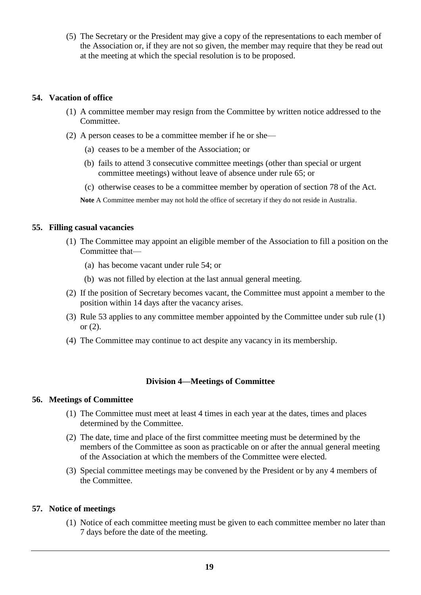(5) The Secretary or the President may give a copy of the representations to each member of the Association or, if they are not so given, the member may require that they be read out at the meeting at which the special resolution is to be proposed.

### **54. Vacation of office**

- (1) A committee member may resign from the Committee by written notice addressed to the Committee.
- (2) A person ceases to be a committee member if he or she—
	- (a) ceases to be a member of the Association; or
	- (b) fails to attend 3 consecutive committee meetings (other than special or urgent committee meetings) without leave of absence under rule 65; or
	- (c) otherwise ceases to be a committee member by operation of section 78 of the Act.

**Note** A Committee member may not hold the office of secretary if they do not reside in Australia.

### **55. Filling casual vacancies**

- (1) The Committee may appoint an eligible member of the Association to fill a position on the Committee that—
	- (a) has become vacant under rule 54; or
	- (b) was not filled by election at the last annual general meeting.
- (2) If the position of Secretary becomes vacant, the Committee must appoint a member to the position within 14 days after the vacancy arises.
- (3) Rule 53 applies to any committee member appointed by the Committee under sub rule (1) or  $(2)$ .
- (4) The Committee may continue to act despite any vacancy in its membership.

# **Division 4—Meetings of Committee**

# **56. Meetings of Committee**

- (1) The Committee must meet at least 4 times in each year at the dates, times and places determined by the Committee.
- (2) The date, time and place of the first committee meeting must be determined by the members of the Committee as soon as practicable on or after the annual general meeting of the Association at which the members of the Committee were elected.
- (3) Special committee meetings may be convened by the President or by any 4 members of the Committee.

# **57. Notice of meetings**

(1) Notice of each committee meeting must be given to each committee member no later than 7 days before the date of the meeting.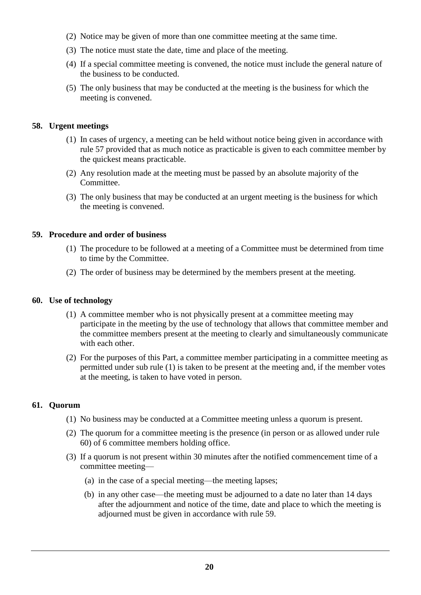- (2) Notice may be given of more than one committee meeting at the same time.
- (3) The notice must state the date, time and place of the meeting.
- (4) If a special committee meeting is convened, the notice must include the general nature of the business to be conducted.
- (5) The only business that may be conducted at the meeting is the business for which the meeting is convened.

### **58. Urgent meetings**

- (1) In cases of urgency, a meeting can be held without notice being given in accordance with rule 57 provided that as much notice as practicable is given to each committee member by the quickest means practicable.
- (2) Any resolution made at the meeting must be passed by an absolute majority of the Committee.
- (3) The only business that may be conducted at an urgent meeting is the business for which the meeting is convened.

### **59. Procedure and order of business**

- (1) The procedure to be followed at a meeting of a Committee must be determined from time to time by the Committee.
- (2) The order of business may be determined by the members present at the meeting.

### **60. Use of technology**

- (1) A committee member who is not physically present at a committee meeting may participate in the meeting by the use of technology that allows that committee member and the committee members present at the meeting to clearly and simultaneously communicate with each other.
- (2) For the purposes of this Part, a committee member participating in a committee meeting as permitted under sub rule (1) is taken to be present at the meeting and, if the member votes at the meeting, is taken to have voted in person.

# **61. Quorum**

- (1) No business may be conducted at a Committee meeting unless a quorum is present.
- (2) The quorum for a committee meeting is the presence (in person or as allowed under rule 60) of 6 committee members holding office.
- (3) If a quorum is not present within 30 minutes after the notified commencement time of a committee meeting—
	- (a) in the case of a special meeting—the meeting lapses;
	- (b) in any other case—the meeting must be adjourned to a date no later than 14 days after the adjournment and notice of the time, date and place to which the meeting is adjourned must be given in accordance with rule 59.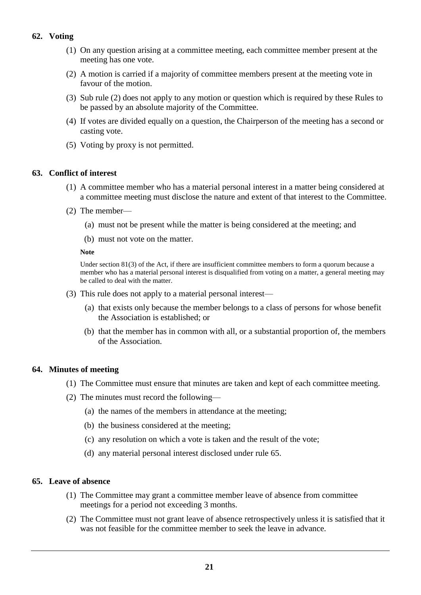# **62. Voting**

- (1) On any question arising at a committee meeting, each committee member present at the meeting has one vote.
- (2) A motion is carried if a majority of committee members present at the meeting vote in favour of the motion.
- (3) Sub rule (2) does not apply to any motion or question which is required by these Rules to be passed by an absolute majority of the Committee.
- (4) If votes are divided equally on a question, the Chairperson of the meeting has a second or casting vote.
- (5) Voting by proxy is not permitted.

#### **63. Conflict of interest**

- (1) A committee member who has a material personal interest in a matter being considered at a committee meeting must disclose the nature and extent of that interest to the Committee.
- (2) The member—
	- (a) must not be present while the matter is being considered at the meeting; and
	- (b) must not vote on the matter.

#### **Note**

Under section 81(3) of the Act, if there are insufficient committee members to form a quorum because a member who has a material personal interest is disqualified from voting on a matter, a general meeting may be called to deal with the matter.

- (3) This rule does not apply to a material personal interest—
	- (a) that exists only because the member belongs to a class of persons for whose benefit the Association is established; or
	- (b) that the member has in common with all, or a substantial proportion of, the members of the Association.

### **64. Minutes of meeting**

- (1) The Committee must ensure that minutes are taken and kept of each committee meeting.
- (2) The minutes must record the following—
	- (a) the names of the members in attendance at the meeting;
	- (b) the business considered at the meeting;
	- (c) any resolution on which a vote is taken and the result of the vote;
	- (d) any material personal interest disclosed under rule 65.

#### **65. Leave of absence**

- (1) The Committee may grant a committee member leave of absence from committee meetings for a period not exceeding 3 months.
- (2) The Committee must not grant leave of absence retrospectively unless it is satisfied that it was not feasible for the committee member to seek the leave in advance.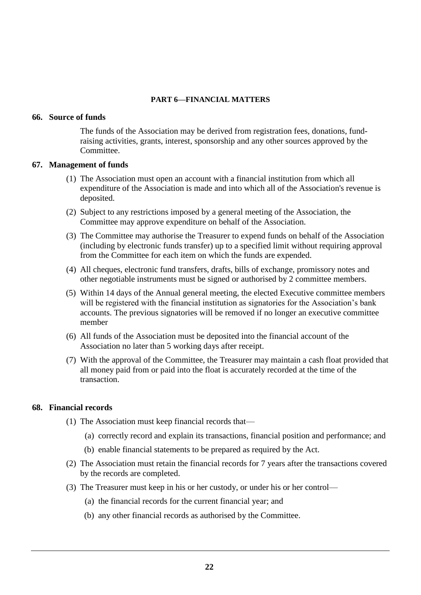### **PART 6—FINANCIAL MATTERS**

#### **66. Source of funds**

The funds of the Association may be derived from registration fees, donations, fundraising activities, grants, interest, sponsorship and any other sources approved by the Committee.

#### **67. Management of funds**

- (1) The Association must open an account with a financial institution from which all expenditure of the Association is made and into which all of the Association's revenue is deposited.
- (2) Subject to any restrictions imposed by a general meeting of the Association, the Committee may approve expenditure on behalf of the Association.
- (3) The Committee may authorise the Treasurer to expend funds on behalf of the Association (including by electronic funds transfer) up to a specified limit without requiring approval from the Committee for each item on which the funds are expended.
- (4) All cheques, electronic fund transfers, drafts, bills of exchange, promissory notes and other negotiable instruments must be signed or authorised by 2 committee members.
- (5) Within 14 days of the Annual general meeting, the elected Executive committee members will be registered with the financial institution as signatories for the Association's bank accounts. The previous signatories will be removed if no longer an executive committee member
- (6) All funds of the Association must be deposited into the financial account of the Association no later than 5 working days after receipt.
- (7) With the approval of the Committee, the Treasurer may maintain a cash float provided that all money paid from or paid into the float is accurately recorded at the time of the transaction.

# **68. Financial records**

- (1) The Association must keep financial records that—
	- (a) correctly record and explain its transactions, financial position and performance; and
	- (b) enable financial statements to be prepared as required by the Act.
- (2) The Association must retain the financial records for 7 years after the transactions covered by the records are completed.
- (3) The Treasurer must keep in his or her custody, or under his or her control—
	- (a) the financial records for the current financial year; and
	- (b) any other financial records as authorised by the Committee.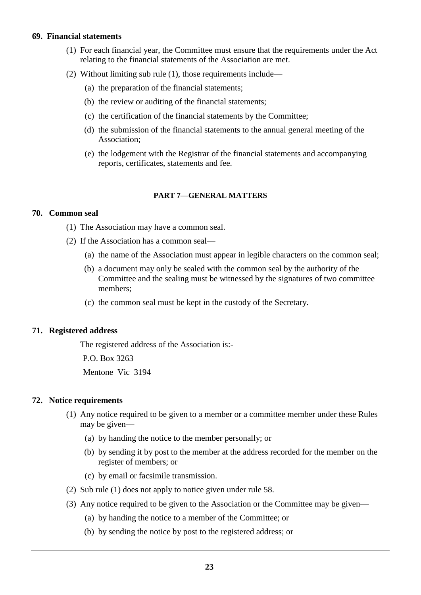#### **69. Financial statements**

- (1) For each financial year, the Committee must ensure that the requirements under the Act relating to the financial statements of the Association are met.
- (2) Without limiting sub rule (1), those requirements include—
	- (a) the preparation of the financial statements;
	- (b) the review or auditing of the financial statements;
	- (c) the certification of the financial statements by the Committee;
	- (d) the submission of the financial statements to the annual general meeting of the Association;
	- (e) the lodgement with the Registrar of the financial statements and accompanying reports, certificates, statements and fee.

#### **PART 7—GENERAL MATTERS**

### **70. Common seal**

- (1) The Association may have a common seal.
- (2) If the Association has a common seal—
	- (a) the name of the Association must appear in legible characters on the common seal;
	- (b) a document may only be sealed with the common seal by the authority of the Committee and the sealing must be witnessed by the signatures of two committee members;
	- (c) the common seal must be kept in the custody of the Secretary.

#### **71. Registered address**

The registered address of the Association is:-

 P.O. Box 3263 Mentone Vic 3194

#### **72. Notice requirements**

- (1) Any notice required to be given to a member or a committee member under these Rules may be given—
	- (a) by handing the notice to the member personally; or
	- (b) by sending it by post to the member at the address recorded for the member on the register of members; or
	- (c) by email or facsimile transmission.
- (2) Sub rule (1) does not apply to notice given under rule 58.
- (3) Any notice required to be given to the Association or the Committee may be given—
	- (a) by handing the notice to a member of the Committee; or
	- (b) by sending the notice by post to the registered address; or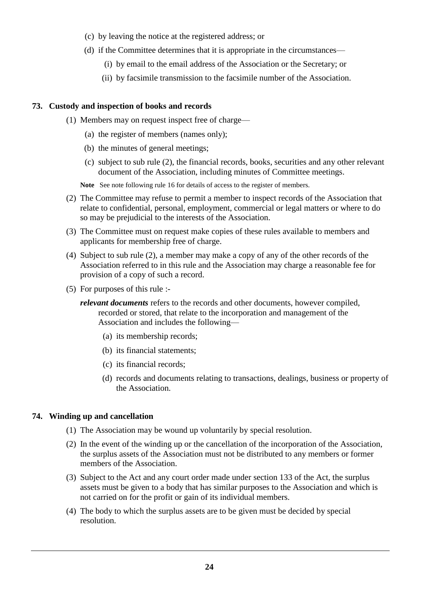- (c) by leaving the notice at the registered address; or
- (d) if the Committee determines that it is appropriate in the circumstances—
	- (i) by email to the email address of the Association or the Secretary; or
	- (ii) by facsimile transmission to the facsimile number of the Association.

### **73. Custody and inspection of books and records**

- (1) Members may on request inspect free of charge—
	- (a) the register of members (names only);
	- (b) the minutes of general meetings;
	- (c) subject to sub rule (2), the financial records, books, securities and any other relevant document of the Association, including minutes of Committee meetings.

**Note** See note following rule 16 for details of access to the register of members.

- (2) The Committee may refuse to permit a member to inspect records of the Association that relate to confidential, personal, employment, commercial or legal matters or where to do so may be prejudicial to the interests of the Association.
- (3) The Committee must on request make copies of these rules available to members and applicants for membership free of charge.
- (4) Subject to sub rule (2), a member may make a copy of any of the other records of the Association referred to in this rule and the Association may charge a reasonable fee for provision of a copy of such a record.
- (5) For purposes of this rule :
	- *relevant documents* refers to the records and other documents, however compiled, recorded or stored, that relate to the incorporation and management of the Association and includes the following—
		- (a) its membership records;
		- (b) its financial statements;
		- (c) its financial records;
		- (d) records and documents relating to transactions, dealings, business or property of the Association.

# **74. Winding up and cancellation**

- (1) The Association may be wound up voluntarily by special resolution.
- (2) In the event of the winding up or the cancellation of the incorporation of the Association, the surplus assets of the Association must not be distributed to any members or former members of the Association.
- (3) Subject to the Act and any court order made under section 133 of the Act, the surplus assets must be given to a body that has similar purposes to the Association and which is not carried on for the profit or gain of its individual members.
- (4) The body to which the surplus assets are to be given must be decided by special resolution.